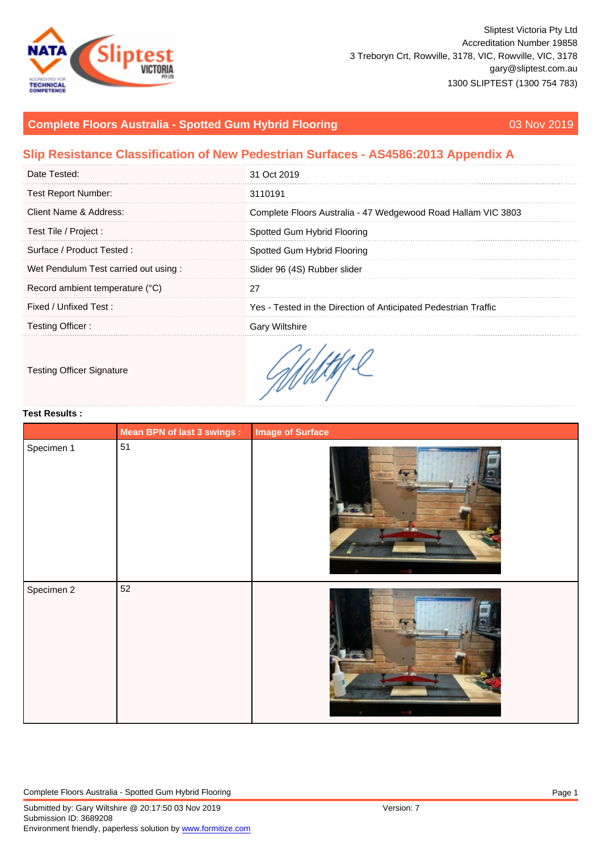# Complete Floors Australia - Spotted Gum Hybrid Flooring **03 Nov 2019** 03 Nov 2019

## Slip Resistance Classification of New Pedestrian Surfaces - AS4586:2013 Appendix A

| Date Tested:                         | 31 Oct 2019                                                     |
|--------------------------------------|-----------------------------------------------------------------|
| <b>Test Report Number:</b>           | 3110191                                                         |
| Client Name & Address:               | Complete Floors Australia - 47 Wedgewood Road Hallam VIC 3803   |
| Test Tile / Project :                | Spotted Gum Hybrid Flooring                                     |
| Surface / Product Tested:            | Spotted Gum Hybrid Flooring                                     |
| Wet Pendulum Test carried out using: | Slider 96 (4S) Rubber slider                                    |
| Record ambient temperature (°C)      |                                                                 |
| Fixed / Unfixed Test :               | Yes - Tested in the Direction of Anticipated Pedestrian Traffic |
| Testing Officer:                     | <b>Gary Wiltshire</b>                                           |
|                                      |                                                                 |

### Testing Officer Signature

#### Test Results :

|            | Mean BPN of last 3 swings : | Image of Surface |
|------------|-----------------------------|------------------|
| Specimen 1 | 51                          |                  |
|            |                             |                  |
|            |                             |                  |
|            |                             |                  |
|            |                             |                  |
|            |                             |                  |
|            |                             |                  |
|            |                             |                  |
| Specimen 2 | 52                          |                  |
|            |                             |                  |
|            |                             |                  |
|            |                             |                  |
|            |                             |                  |
|            |                             |                  |
|            |                             |                  |
|            |                             |                  |
|            |                             |                  |